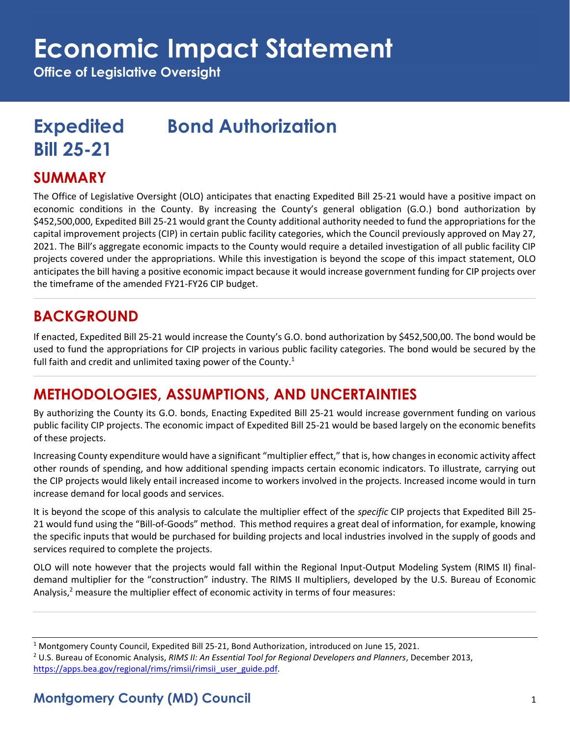# **Economic Impact Statement**

**Office of Legislative Oversight**

# **Expedited Bond Authorization Bill 25-21**

#### **SUMMARY**

The Office of Legislative Oversight (OLO) anticipates that enacting Expedited Bill 25-21 would have a positive impact on economic conditions in the County. By increasing the County's general obligation (G.O.) bond authorization by \$452,500,000, Expedited Bill 25-21 would grant the County additional authority needed to fund the appropriations for the capital improvement projects (CIP) in certain public facility categories, which the Council previously approved on May 27, 2021. The Bill's aggregate economic impacts to the County would require a detailed investigation of all public facility CIP projects covered under the appropriations. While this investigation is beyond the scope of this impact statement, OLO anticipates the bill having a positive economic impact because it would increase government funding for CIP projects over the timeframe of the amended FY21-FY26 CIP budget.

### **BACKGROUND**

If enacted, Expedited Bill 25-21 would increase the County's G.O. bond authorization by \$452,500,00. The bond would be used to fund the appropriations for CIP projects in various public facility categories. The bond would be secured by the full faith and credit and unlimited taxing power of the County.<sup>1</sup>

# **METHODOLOGIES, ASSUMPTIONS, AND UNCERTAINTIES**

By authorizing the County its G.O. bonds, Enacting Expedited Bill 25-21 would increase government funding on various public facility CIP projects. The economic impact of Expedited Bill 25-21 would be based largely on the economic benefits of these projects.

Increasing County expenditure would have a significant "multiplier effect," that is, how changes in economic activity affect other rounds of spending, and how additional spending impacts certain economic indicators. To illustrate, carrying out the CIP projects would likely entail increased income to workers involved in the projects. Increased income would in turn increase demand for local goods and services.

It is beyond the scope of this analysis to calculate the multiplier effect of the *specific* CIP projects that Expedited Bill 25- 21 would fund using the "Bill-of-Goods" method. This method requires a great deal of information, for example, knowing the specific inputs that would be purchased for building projects and local industries involved in the supply of goods and services required to complete the projects.

OLO will note however that the projects would fall within the Regional Input-Output Modeling System (RIMS II) finaldemand multiplier for the "construction" industry. The RIMS II multipliers, developed by the U.S. Bureau of Economic Analysis,<sup>2</sup> measure the multiplier effect of economic activity in terms of four measures:

<sup>1</sup> Montgomery County Council, Expedited Bill 25-21, Bond Authorization, introduced on June 15, 2021. <sup>2</sup> U.S. Bureau of Economic Analysis, *RIMS II: An Essential Tool for Regional Developers and Planners*, December 2013, [https://apps.bea.gov/regional/rims/rimsii/rimsii\\_user\\_guide.pdf.](https://apps.bea.gov/regional/rims/rimsii/rimsii_user_guide.pdf)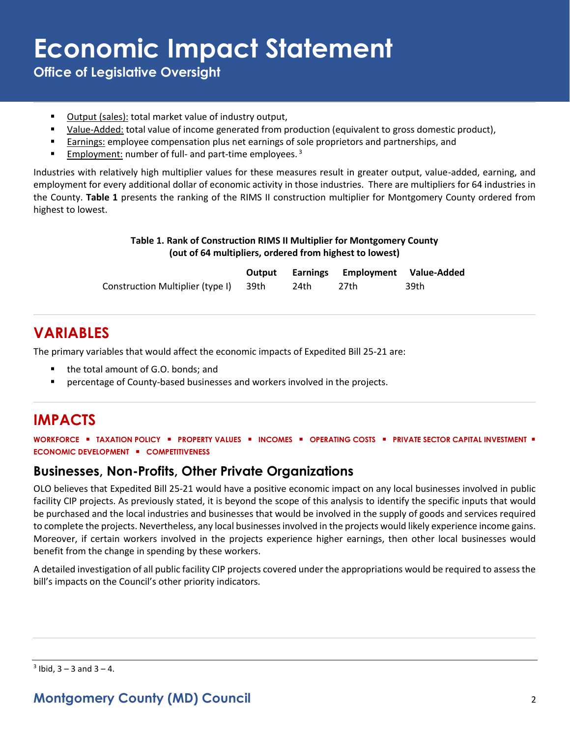# **Economic Impact Statement**

**Office of Legislative Oversight**

- Output (sales): total market value of industry output,
- Value-Added: total value of income generated from production (equivalent to gross domestic product),
- Earnings: employee compensation plus net earnings of sole proprietors and partnerships, and
- **Employment:** number of full- and part-time employees.<sup>3</sup>

Industries with relatively high multiplier values for these measures result in greater output, value-added, earning, and employment for every additional dollar of economic activity in those industries. There are multipliers for 64 industries in the County. **Table 1** presents the ranking of the RIMS II construction multiplier for Montgomery County ordered from highest to lowest.

#### **Table 1. Rank of Construction RIMS II Multiplier for Montgomery County (out of 64 multipliers, ordered from highest to lowest)**

|                                       |      | Output Earnings Employment Value-Added |      |
|---------------------------------------|------|----------------------------------------|------|
| Construction Multiplier (type I) 39th | 24th | 27th                                   | 39th |

## **VARIABLES**

The primary variables that would affect the economic impacts of Expedited Bill 25-21 are:

- the total amount of G.O. bonds; and
- **•** percentage of County-based businesses and workers involved in the projects.

# **IMPACTS**

**WORKFORCE** ▪ **TAXATION POLICY** ▪ **PROPERTY VALUES** ▪ **INCOMES** ▪ **OPERATING COSTS** ▪ **PRIVATE SECTOR CAPITAL INVESTMENT** ▪ **ECONOMIC DEVELOPMENT** ▪ **COMPETITIVENESS**

#### **Businesses, Non-Profits, Other Private Organizations**

OLO believes that Expedited Bill 25-21 would have a positive economic impact on any local businesses involved in public facility CIP projects. As previously stated, it is beyond the scope of this analysis to identify the specific inputs that would be purchased and the local industries and businesses that would be involved in the supply of goods and services required to complete the projects. Nevertheless, any local businesses involved in the projects would likely experience income gains. Moreover, if certain workers involved in the projects experience higher earnings, then other local businesses would benefit from the change in spending by these workers.

A detailed investigation of all public facility CIP projects covered under the appropriations would be required to assess the bill's impacts on the Council's other priority indicators.

 $3$  Ibid,  $3 - 3$  and  $3 - 4$ .